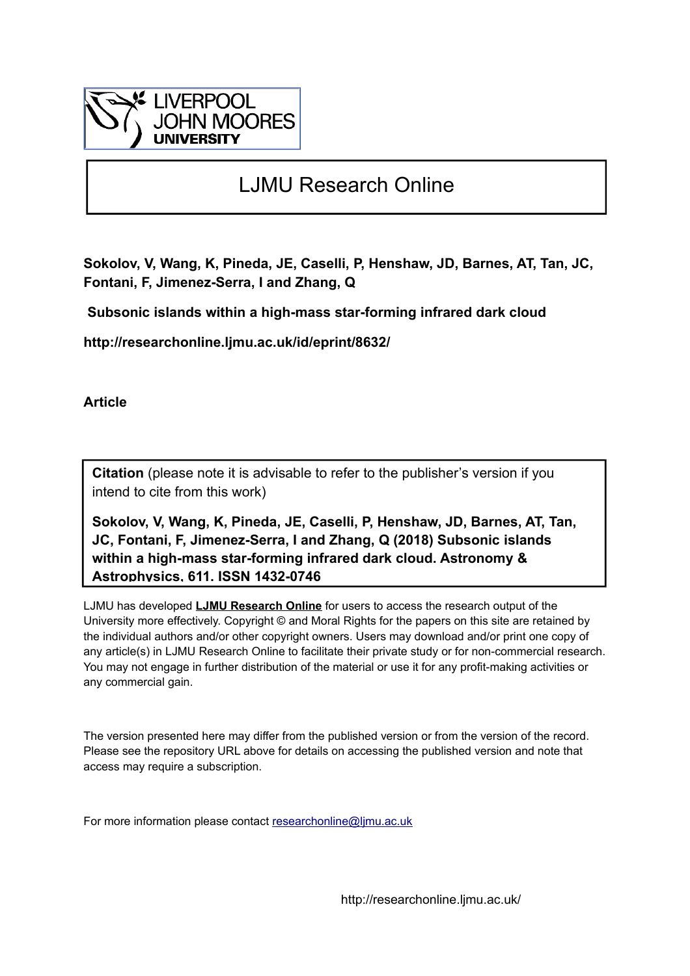

# LJMU Research Online

**Sokolov, V, Wang, K, Pineda, JE, Caselli, P, Henshaw, JD, Barnes, AT, Tan, JC, Fontani, F, Jimenez-Serra, I and Zhang, Q**

 **Subsonic islands within a high-mass star-forming infrared dark cloud**

**http://researchonline.ljmu.ac.uk/id/eprint/8632/**

**Article**

**Citation** (please note it is advisable to refer to the publisher's version if you intend to cite from this work)

**Sokolov, V, Wang, K, Pineda, JE, Caselli, P, Henshaw, JD, Barnes, AT, Tan, JC, Fontani, F, Jimenez-Serra, I and Zhang, Q (2018) Subsonic islands within a high-mass star-forming infrared dark cloud. Astronomy & Astrophysics, 611. ISSN 1432-0746** 

LJMU has developed **[LJMU Research Online](http://researchonline.ljmu.ac.uk/)** for users to access the research output of the University more effectively. Copyright © and Moral Rights for the papers on this site are retained by the individual authors and/or other copyright owners. Users may download and/or print one copy of any article(s) in LJMU Research Online to facilitate their private study or for non-commercial research. You may not engage in further distribution of the material or use it for any profit-making activities or any commercial gain.

The version presented here may differ from the published version or from the version of the record. Please see the repository URL above for details on accessing the published version and note that access may require a subscription.

For more information please contact [researchonline@ljmu.ac.uk](mailto:researchonline@ljmu.ac.uk)

http://researchonline.ljmu.ac.uk/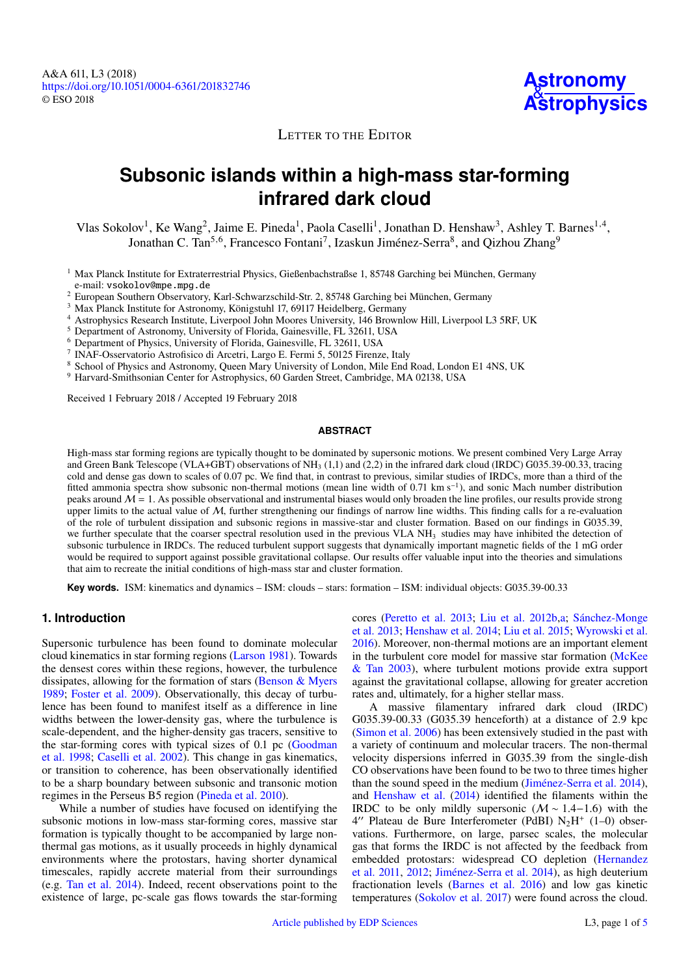**Astronomy [Astrophysics](http://www.aanda.org)**

### LETTER TO THE EDITOR

## **Subsonic islands within a high-mass star-forming infrared dark cloud**

Vlas Sokolov<sup>[1](#page-1-0)</sup>, Ke Wang<sup>[2](#page-1-1)</sup>, Jaime E. Pineda<sup>1</sup>, Paola Caselli<sup>1</sup>, Jonathan D. Henshaw<sup>[3](#page-1-2)</sup>, Ashley T. Barnes<sup>[1,](#page-1-0)[4](#page-1-3)</sup>, Jonathan C. Tan<sup>[5,](#page-1-4)[6](#page-1-5)</sup>, Francesco Fontani<sup>[7](#page-1-6)</sup>, Izaskun Jiménez-Serra<sup>[8](#page-1-7)</sup>, and Qizhou Zhang<sup>[9](#page-1-8)</sup>

<span id="page-1-0"></span><sup>1</sup> Max Planck Institute for Extraterrestrial Physics, Gießenbachstraßse 1, 85748 Garching bei München, Germany e-mail: [vsokolov@mpe.mpg.de](mailto:vsokolov@mpe.mpg.de)

<span id="page-1-1"></span><sup>2</sup> European Southern Observatory, Karl-Schwarzschild-Str. 2, 85748 Garching bei München, Germany

<span id="page-1-2"></span><sup>3</sup> Max Planck Institute for Astronomy, Königstuhl 17, 69117 Heidelberg, Germany

<span id="page-1-3"></span><sup>4</sup> Astrophysics Research Institute, Liverpool John Moores University, 146 Brownlow Hill, Liverpool L3 5RF, UK

<span id="page-1-4"></span><sup>5</sup> Department of Astronomy, University of Florida, Gainesville, FL 32611, USA

<span id="page-1-5"></span><sup>6</sup> Department of Physics, University of Florida, Gainesville, FL 32611, USA

<span id="page-1-6"></span>7 INAF-Osservatorio Astrofisico di Arcetri, Largo E. Fermi 5, 50125 Firenze, Italy

<span id="page-1-7"></span><sup>8</sup> School of Physics and Astronomy, Queen Mary University of London, Mile End Road, London E1 4NS, UK

<span id="page-1-8"></span><sup>9</sup> Harvard-Smithsonian Center for Astrophysics, 60 Garden Street, Cambridge, MA 02138, USA

Received 1 February 2018 / Accepted 19 February 2018

#### **ABSTRACT**

High-mass star forming regions are typically thought to be dominated by supersonic motions. We present combined Very Large Array and Green Bank Telescope (VLA+GBT) observations of  $NH<sub>3</sub> (1,1)$  and (2,2) in the infrared dark cloud (IRDC) G035.39-00.33, tracing cold and dense gas down to scales of 0.07 pc. We find that, in contrast to previous, similar studies of IRDCs, more than a third of the fitted ammonia spectra show subsonic non-thermal motions (mean line width of 0.71 km s<sup>−</sup><sup>1</sup> ), and sonic Mach number distribution peaks around  $\mathcal{M} = 1$ . As possible observational and instrumental biases would only broaden the line profiles, our results provide strong upper limits to the actual value of  $M$ , further strengthening our findings of narrow line widths. This finding calls for a re-evaluation of the role of turbulent dissipation and subsonic regions in massive-star and cluster formation. Based on our findings in G035.39, we further speculate that the coarser spectral resolution used in the previous VLA NH<sub>3</sub> studies may have inhibited the detection of subsonic turbulence in IRDCs. The reduced turbulent support suggests that dynamically important magnetic fields of the 1 mG order would be required to support against possible gravitational collapse. Our results offer valuable input into the theories and simulations that aim to recreate the initial conditions of high-mass star and cluster formation.

**Key words.** ISM: kinematics and dynamics – ISM: clouds – stars: formation – ISM: individual objects: G035.39-00.33

#### **1. Introduction**

Supersonic turbulence has been found to dominate molecular cloud kinematics in star forming regions [\(Larson](#page-5-0) [1981\)](#page-5-0). Towards the densest cores within these regions, however, the turbulence dissipates, allowing for the formation of stars (Benson  $\&$  Myers [1989;](#page-5-1) [Foster et al.](#page-5-2) [2009\)](#page-5-2). Observationally, this decay of turbulence has been found to manifest itself as a difference in line widths between the lower-density gas, where the turbulence is scale-dependent, and the higher-density gas tracers, sensitive to the star-forming cores with typical sizes of 0.1 pc [\(Goodman](#page-5-3) [et al.](#page-5-3) [1998;](#page-5-3) [Caselli et al.](#page-5-4) [2002\)](#page-5-4). This change in gas kinematics, or transition to coherence, has been observationally identified to be a sharp boundary between subsonic and transonic motion regimes in the Perseus B5 region [\(Pineda et al.](#page-5-5) [2010\)](#page-5-5).

While a number of studies have focused on identifying the subsonic motions in low-mass star-forming cores, massive star formation is typically thought to be accompanied by large nonthermal gas motions, as it usually proceeds in highly dynamical environments where the protostars, having shorter dynamical timescales, rapidly accrete material from their surroundings (e.g. [Tan et al.](#page-5-6) [2014\)](#page-5-6). Indeed, recent observations point to the existence of large, pc-scale gas flows towards the star-forming cores [\(Peretto et al.](#page-5-7) [2013;](#page-5-7) [Liu et al.](#page-5-8) [2012b,](#page-5-8)[a;](#page-5-9) [Sánchez-Monge](#page-5-10) [et al.](#page-5-10) [2013;](#page-5-10) [Henshaw et al.](#page-5-11) [2014;](#page-5-11) [Liu et al.](#page-5-12) [2015;](#page-5-12) [Wyrowski et al.](#page-5-13) [2016\)](#page-5-13). Moreover, non-thermal motions are an important element in the turbulent core model for massive star formation [\(McKee](#page-5-14) [& Tan](#page-5-14) [2003\)](#page-5-14), where turbulent motions provide extra support against the gravitational collapse, allowing for greater accretion rates and, ultimately, for a higher stellar mass.

A massive filamentary infrared dark cloud (IRDC) G035.39-00.33 (G035.39 henceforth) at a distance of 2.9 kpc [\(Simon et al.](#page-5-15) [2006\)](#page-5-15) has been extensively studied in the past with a variety of continuum and molecular tracers. The non-thermal velocity dispersions inferred in G035.39 from the single-dish CO observations have been found to be two to three times higher than the sound speed in the medium [\(Jiménez-Serra et al.](#page-5-16) [2014\)](#page-5-16), and [Henshaw et al.](#page-5-11) [\(2014\)](#page-5-11) identified the filaments within the IRDC to be only mildly supersonic  $(M \sim 1.4-1.6)$  with the 4" Plateau de Bure Interferometer (PdBI) N<sub>2</sub>H<sup>+</sup> (1-0) observations. Furthermore, on large, parsec scales, the molecular gas that forms the IRDC is not affected by the feedback from embedded protostars: widespread CO depletion [\(Hernandez](#page-5-17) [et al.](#page-5-17) [2011,](#page-5-17) [2012;](#page-5-18) [Jiménez-Serra et al.](#page-5-16) [2014\)](#page-5-16), as high deuterium fractionation levels [\(Barnes et al.](#page-5-19) [2016\)](#page-5-19) and low gas kinetic temperatures [\(Sokolov et al.](#page-5-20) [2017\)](#page-5-20) were found across the cloud.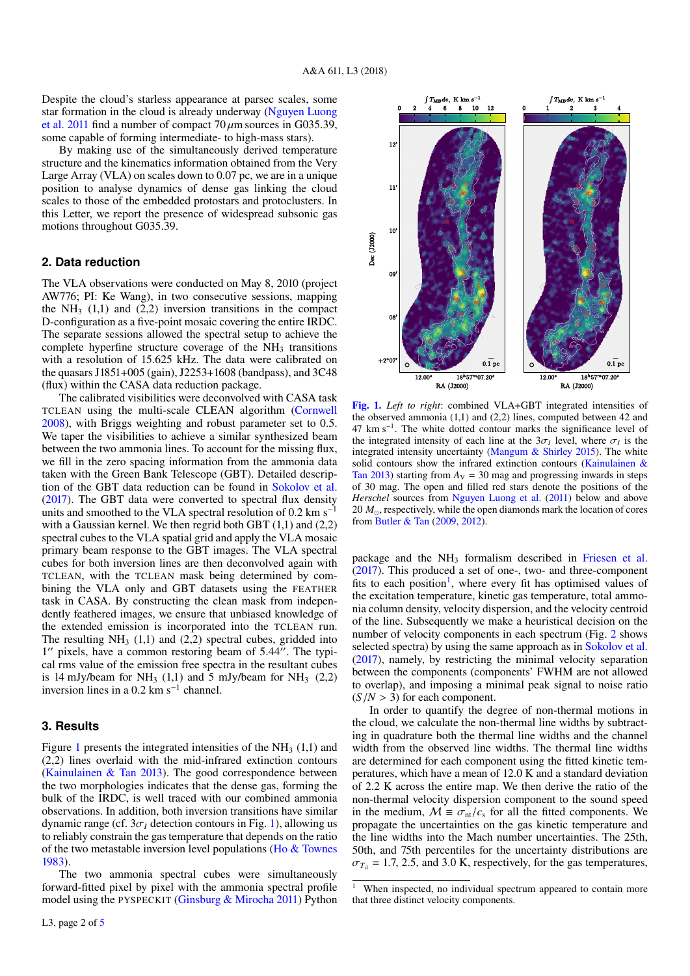Despite the cloud's starless appearance at parsec scales, some star formation in the cloud is already underway [\(Nguyen Luong](#page-5-22) [et al.](#page-5-22) [2011](#page-5-22) find a number of compact  $70 \mu$ m sources in G035.39, some capable of forming intermediate- to high-mass stars).

By making use of the simultaneously derived temperature structure and the kinematics information obtained from the Very Large Array (VLA) on scales down to 0.07 pc, we are in a unique position to analyse dynamics of dense gas linking the cloud scales to those of the embedded protostars and protoclusters. In this Letter, we report the presence of widespread subsonic gas motions throughout G035.39.

#### **2. Data reduction**

The VLA observations were conducted on May 8, 2010 (project AW776; PI: Ke Wang), in two consecutive sessions, mapping the  $NH<sub>3</sub>$  (1,1) and (2,2) inversion transitions in the compact D-configuration as a five-point mosaic covering the entire IRDC. The separate sessions allowed the spectral setup to achieve the complete hyperfine structure coverage of the  $NH<sub>3</sub>$  transitions with a resolution of 15.625 kHz. The data were calibrated on the quasars J1851+005 (gain), J2253+1608 (bandpass), and 3C48 (flux) within the CASA data reduction package.

The calibrated visibilities were deconvolved with CASA task TCLEAN using the multi-scale CLEAN algorithm [\(Cornwell](#page-5-23) [2008\)](#page-5-23), with Briggs weighting and robust parameter set to 0.5. We taper the visibilities to achieve a similar synthesized beam between the two ammonia lines. To account for the missing flux, we fill in the zero spacing information from the ammonia data taken with the Green Bank Telescope (GBT). Detailed description of the GBT data reduction can be found in [Sokolov et al.](#page-5-20) [\(2017\)](#page-5-20). The GBT data were converted to spectral flux density units and smoothed to the VLA spectral resolution of 0.2 km s<sup>-1</sup> with a Gaussian kernel. We then regrid both GBT (1,1) and (2,2) spectral cubes to the VLA spatial grid and apply the VLA mosaic primary beam response to the GBT images. The VLA spectral cubes for both inversion lines are then deconvolved again with TCLEAN, with the TCLEAN mask being determined by combining the VLA only and GBT datasets using the FEATHER task in CASA. By constructing the clean mask from independently feathered images, we ensure that unbiased knowledge of the extended emission is incorporated into the TCLEAN run. The resulting  $NH<sub>3</sub>$  (1,1) and (2,2) spectral cubes, gridded into 1" pixels, have a common restoring beam of 5.44". The typical rms value of the emission free spectra in the resultant cubes is 14 mJy/beam for NH<sub>3</sub> (1,1) and 5 mJy/beam for NH<sub>3</sub> (2,2) inversion lines in a 0.2 km s<sup>-1</sup> channel.

#### **3. Results**

Figure [1](#page-2-0) presents the integrated intensities of the  $NH<sub>3</sub>(1,1)$  and (2,2) lines overlaid with the mid-infrared extinction contours [\(Kainulainen & Tan](#page-5-24) [2013\)](#page-5-24). The good correspondence between the two morphologies indicates that the dense gas, forming the bulk of the IRDC, is well traced with our combined ammonia observations. In addition, both inversion transitions have similar dynamic range (cf.  $3\sigma$ <sup>*I*</sup> detection contours in Fig. [1\)](#page-2-0), allowing us to reliably constrain the gas temperature that depends on the ratio of the two metastable inversion level populations [\(Ho & Townes](#page-5-25) [1983\)](#page-5-25).

The two ammonia spectral cubes were simultaneously forward-fitted pixel by pixel with the ammonia spectral profile model using the PYSPECKIT [\(Ginsburg & Mirocha](#page-5-26) [2011\)](#page-5-26) Python



<span id="page-2-0"></span>[Fig. 1.](http://dexter.edpsciences.org/applet.php?DOI=10.1051/0004-6361/201832746&pdf_id=0) *Left to right*: combined VLA+GBT integrated intensities of the observed ammonia (1,1) and (2,2) lines, computed between 42 and 47 km s<sup>−</sup><sup>1</sup> . The white dotted contour marks the significance level of the integrated intensity of each line at the  $3\sigma_l$  level, where  $\sigma_l$  is the integrated intensity uncertainty (Mangum & Shirley 2015). The white integrated intensity uncertainty [\(Mangum & Shirley](#page-5-27) [2015\)](#page-5-27). The white solid contours show the infrared extinction contours [\(Kainulainen &](#page-5-24) [Tan](#page-5-24) [2013\)](#page-5-24) starting from  $A_V = 30$  mag and progressing inwards in steps of 30 mag. The open and filled red stars denote the positions of the *Herschel* sources from [Nguyen Luong et al.](#page-5-22) [\(2011\)](#page-5-22) below and above 20  $M_{\odot}$ , respectively, while the open diamonds mark the location of cores from [Butler & Tan](#page-5-28) [\(2009,](#page-5-28) [2012\)](#page-5-29).

package and the NH<sub>3</sub> formalism described in [Friesen et al.](#page-5-30) [\(2017\)](#page-5-30). This produced a set of one-, two- and three-component fits to each position<sup>[1](#page-2-1)</sup>, where every fit has optimised values of the excitation temperature, kinetic gas temperature, total ammonia column density, velocity dispersion, and the velocity centroid of the line. Subsequently we make a heuristical decision on the number of velocity components in each spectrum (Fig. [2](#page-3-0) shows selected spectra) by using the same approach as in [Sokolov et al.](#page-5-20) [\(2017\)](#page-5-20), namely, by restricting the minimal velocity separation between the components (components' FWHM are not allowed to overlap), and imposing a minimal peak signal to noise ratio  $(S/N > 3)$  for each component.

In order to quantify the degree of non-thermal motions in the cloud, we calculate the non-thermal line widths by subtracting in quadrature both the thermal line widths and the channel width from the observed line widths. The thermal line widths are determined for each component using the fitted kinetic temperatures, which have a mean of 12.0 K and a standard deviation of 2.2 K across the entire map. We then derive the ratio of the non-thermal velocity dispersion component to the sound speed in the medium,  $M = \sigma_{nt}/c_s$  for all the fitted components. We propagate the uncertainties on the gas kinetic temperature and the line widths into the Mach number uncertainties. The 25th, 50th, and 75th percentiles for the uncertainty distributions are  $\sigma_{T_d}$  = 1.7, 2.5, and 3.0 K, respectively, for the gas temperatures,

<span id="page-2-1"></span> $\overline{1}$  When inspected, no individual spectrum appeared to contain more that three distinct velocity components.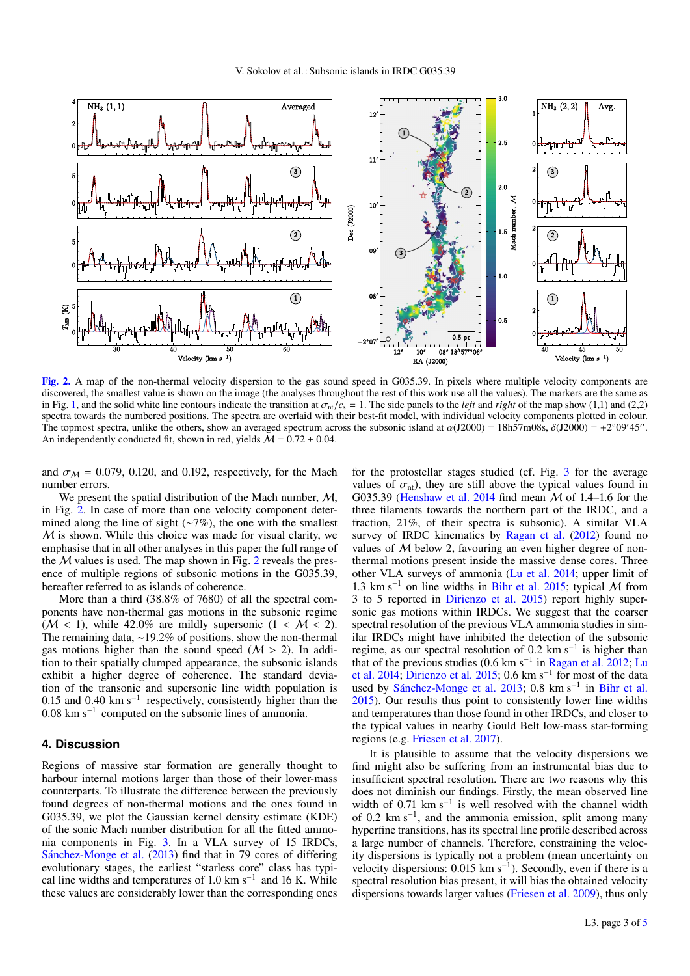

<span id="page-3-0"></span>[Fig. 2.](http://dexter.edpsciences.org/applet.php?DOI=10.1051/0004-6361/201832746&pdf_id=0) A map of the non-thermal velocity dispersion to the gas sound speed in G035.39. In pixels where multiple velocity components are discovered, the smallest value is shown on the image (the analyses throughout the rest of this work use all the values). The markers are the same as in Fig. [1,](#page-2-0) and the solid white line contours indicate the transition at  $\sigma_{nl}/c_s = 1$ . The side panels to the *left* and *right* of the map show (1,1) and (2,2) spectra towards the numbered positions. The spectra are overlaid with their best-fit model, with individual velocity components plotted in colour. The topmost spectra, unlike the others, show an averaged spectrum across the subsonic island at  $\alpha$ (J2000) = 18h57m08s,  $\delta$ (J2000) = +2°09'45".<br>An independently conducted fit shown in red, yields  $M = 0.72 + 0.04$ An independently conducted fit, shown in red, yields  $\tilde{M} = 0.72 \pm 0.04$ .

and  $\sigma_M$  = 0.079, 0.120, and 0.192, respectively, for the Mach number errors.

We present the spatial distribution of the Mach number,  $M$ , in Fig. [2.](#page-3-0) In case of more than one velocity component determined along the line of sight (∼7%), the one with the smallest  $M$  is shown. While this choice was made for visual clarity, we emphasise that in all other analyses in this paper the full range of the  $M$  values is used. The map shown in Fig. [2](#page-3-0) reveals the presence of multiple regions of subsonic motions in the G035.39, hereafter referred to as islands of coherence.

More than a third (38.8% of 7680) of all the spectral components have non-thermal gas motions in the subsonic regime  $(M < 1)$ , while 42.0% are mildly supersonic  $(1 < M < 2)$ . The remaining data, <sup>∼</sup>19.2% of positions, show the non-thermal gas motions higher than the sound speed  $(M > 2)$ . In addition to their spatially clumped appearance, the subsonic islands exhibit a higher degree of coherence. The standard deviation of the transonic and supersonic line width population is 0.15 and 0.40 km s<sup>-1</sup> respectively, consistently higher than the 0.08 km s<sup>−</sup><sup>1</sup> computed on the subsonic lines of ammonia.

#### **4. Discussion**

Regions of massive star formation are generally thought to harbour internal motions larger than those of their lower-mass counterparts. To illustrate the difference between the previously found degrees of non-thermal motions and the ones found in G035.39, we plot the Gaussian kernel density estimate (KDE) of the sonic Mach number distribution for all the fitted ammonia components in Fig. [3.](#page-4-0) In a VLA survey of 15 IRDCs, [Sánchez-Monge et al.](#page-5-10) [\(2013\)](#page-5-10) find that in 79 cores of differing evolutionary stages, the earliest "starless core" class has typical line widths and temperatures of 1.0 km s<sup>-1</sup> and 16 K. While these values are considerably lower than the corresponding ones

for the protostellar stages studied (cf. Fig. [3](#page-4-0) for the average values of  $\sigma_{nt}$ ), they are still above the typical values found in G035.39 [\(Henshaw et al.](#page-5-11) [2014](#page-5-11) find mean M of 1.4–1.6 for the three filaments towards the northern part of the IRDC, and a fraction, 21%, of their spectra is subsonic). A similar VLA survey of IRDC kinematics by [Ragan et al.](#page-5-31) [\(2012\)](#page-5-31) found no values of  $M$  below 2, favouring an even higher degree of nonthermal motions present inside the massive dense cores. Three other VLA surveys of ammonia [\(Lu et al.](#page-5-32) [2014;](#page-5-32) upper limit of 1.3 km s<sup>−1</sup> on line widths in [Bihr et al.](#page-5-33) [2015;](#page-5-33) typical M from 3 to 5 reported in [Dirienzo et al.](#page-5-34) [2015\)](#page-5-34) report highly supersonic gas motions within IRDCs. We suggest that the coarser spectral resolution of the previous VLA ammonia studies in similar IRDCs might have inhibited the detection of the subsonic regime, as our spectral resolution of 0.2 km s<sup>−</sup><sup>1</sup> is higher than that of the previous studies (0.6 km s<sup>−</sup><sup>1</sup> in [Ragan et al.](#page-5-31) [2012;](#page-5-31) [Lu](#page-5-32) [et al.](#page-5-32) [2014;](#page-5-32) [Dirienzo et al.](#page-5-34) [2015;](#page-5-34) 0.6 km s<sup>-1</sup> for most of the data used by [Sánchez-Monge et al.](#page-5-10) [2013;](#page-5-10) 0.8 km s<sup>-1</sup> in [Bihr et al.](#page-5-33) [2015\)](#page-5-33). Our results thus point to consistently lower line widths and temperatures than those found in other IRDCs, and closer to the typical values in nearby Gould Belt low-mass star-forming regions (e.g. [Friesen et al.](#page-5-30) [2017\)](#page-5-30).

It is plausible to assume that the velocity dispersions we find might also be suffering from an instrumental bias due to insufficient spectral resolution. There are two reasons why this does not diminish our findings. Firstly, the mean observed line width of 0.71 km s<sup>-1</sup> is well resolved with the channel width of 0.2 km s<sup>−</sup><sup>1</sup> , and the ammonia emission, split among many hyperfine transitions, has its spectral line profile described across a large number of channels. Therefore, constraining the velocity dispersions is typically not a problem (mean uncertainty on velocity dispersions: 0.015 km s<sup>-1</sup>). Secondly, even if there is a spectral resolution bias present, it will bias the obtained velocity dispersions towards larger values [\(Friesen et al.](#page-5-35) [2009\)](#page-5-35), thus only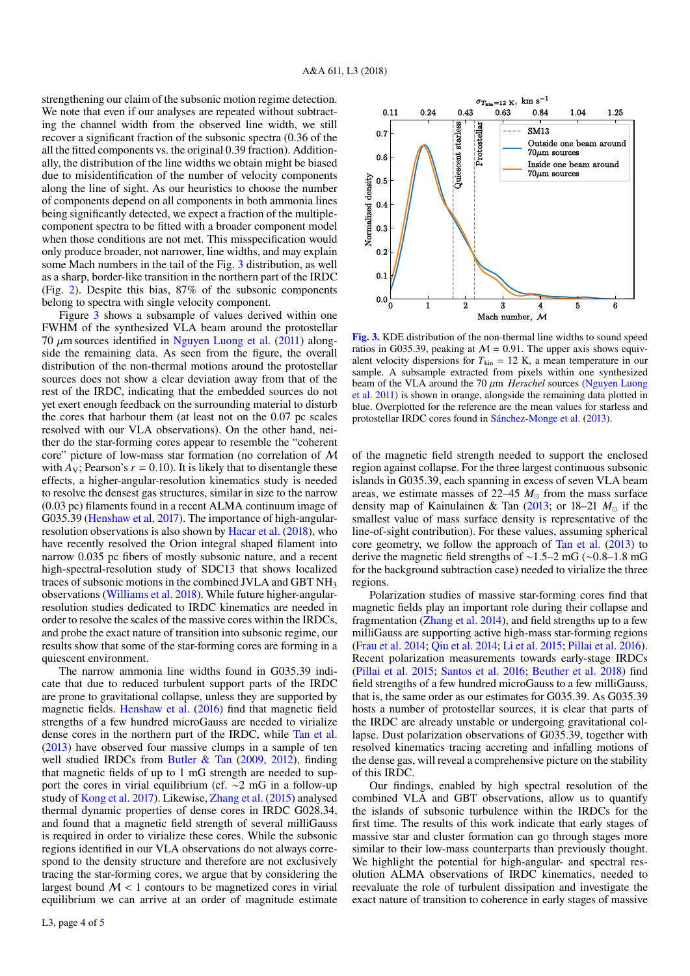strengthening our claim of the subsonic motion regime detection. We note that even if our analyses are repeated without subtracting the channel width from the observed line width, we still recover a significant fraction of the subsonic spectra (0.36 of the all the fitted components vs. the original 0.39 fraction). Additionally, the distribution of the line widths we obtain might be biased due to misidentification of the number of velocity components along the line of sight. As our heuristics to choose the number of components depend on all components in both ammonia lines being significantly detected, we expect a fraction of the multiplecomponent spectra to be fitted with a broader component model when those conditions are not met. This misspecification would only produce broader, not narrower, line widths, and may explain some Mach numbers in the tail of the Fig. [3](#page-4-0) distribution, as well as a sharp, border-like transition in the northern part of the IRDC (Fig. [2\)](#page-3-0). Despite this bias, 87% of the subsonic components belong to spectra with single velocity component.

Figure [3](#page-4-0) shows a subsample of values derived within one FWHM of the synthesized VLA beam around the protostellar 70  $\mu$ m sources identified in [Nguyen Luong et al.](#page-5-22) [\(2011\)](#page-5-22) alongside the remaining data. As seen from the figure, the overall distribution of the non-thermal motions around the protostellar sources does not show a clear deviation away from that of the rest of the IRDC, indicating that the embedded sources do not yet exert enough feedback on the surrounding material to disturb the cores that harbour them (at least not on the 0.07 pc scales resolved with our VLA observations). On the other hand, neither do the star-forming cores appear to resemble the "coherent core" picture of low-mass star formation (no correlation of M with  $A_V$ ; Pearson's  $r = 0.10$ ). It is likely that to disentangle these effects, a higher-angular-resolution kinematics study is needed to resolve the densest gas structures, similar in size to the narrow (0.03 pc) filaments found in a recent ALMA continuum image of G035.39 [\(Henshaw et al.](#page-5-36) [2017\)](#page-5-36). The importance of high-angularresolution observations is also shown by [Hacar et al.](#page-5-37) [\(2018\)](#page-5-37), who have recently resolved the Orion integral shaped filament into narrow 0.035 pc fibers of mostly subsonic nature, and a recent high-spectral-resolution study of SDC13 that shows localized traces of subsonic motions in the combined JVLA and GBT NH<sup>3</sup> observations [\(Williams et al.](#page-5-38) [2018\)](#page-5-38). While future higher-angularresolution studies dedicated to IRDC kinematics are needed in order to resolve the scales of the massive cores within the IRDCs, and probe the exact nature of transition into subsonic regime, our results show that some of the star-forming cores are forming in a quiescent environment.

The narrow ammonia line widths found in G035.39 indicate that due to reduced turbulent support parts of the IRDC are prone to gravitational collapse, unless they are supported by magnetic fields. [Henshaw et al.](#page-5-39) [\(2016\)](#page-5-39) find that magnetic field strengths of a few hundred microGauss are needed to virialize dense cores in the northern part of the IRDC, while [Tan et al.](#page-5-40) [\(2013\)](#page-5-40) have observed four massive clumps in a sample of ten well studied IRDCs from [Butler & Tan](#page-5-28) [\(2009,](#page-5-28) [2012\)](#page-5-29), finding that magnetic fields of up to 1 mG strength are needed to support the cores in virial equilibrium (cf. ∼2 mG in a follow-up study of [Kong et al.](#page-5-41) [2017\)](#page-5-41). Likewise, [Zhang et al.](#page-5-42) [\(2015\)](#page-5-42) analysed thermal dynamic properties of dense cores in IRDC G028.34, and found that a magnetic field strength of several milliGauss is required in order to virialize these cores. While the subsonic regions identified in our VLA observations do not always correspond to the density structure and therefore are not exclusively tracing the star-forming cores, we argue that by considering the largest bound  $M < 1$  contours to be magnetized cores in virial equilibrium we can arrive at an order of magnitude estimate



<span id="page-4-0"></span>[Fig. 3.](http://dexter.edpsciences.org/applet.php?DOI=10.1051/0004-6361/201832746&pdf_id=0) KDE distribution of the non-thermal line widths to sound speed ratios in G035.39, peaking at  $M = 0.91$ . The upper axis shows equivalent velocity dispersions for  $T_{kin} = 12$  K, a mean temperature in our sample. A subsample extracted from pixels within one synthesized beam of the VLA around the 70 µ<sup>m</sup> *Herschel* sources [\(Nguyen Luong](#page-5-22) [et al.](#page-5-22) [2011\)](#page-5-22) is shown in orange, alongside the remaining data plotted in blue. Overplotted for the reference are the mean values for starless and protostellar IRDC cores found in [Sánchez-Monge et al.](#page-5-10) [\(2013\)](#page-5-10).

of the magnetic field strength needed to support the enclosed region against collapse. For the three largest continuous subsonic islands in G035.39, each spanning in excess of seven VLA beam areas, we estimate masses of  $22-45$   $M_{\odot}$  from the mass surface density map of Kainulainen & Tan  $(2013)$ ; or 18–21  $M_{\odot}$  if the smallest value of mass surface density is representative of the line-of-sight contribution). For these values, assuming spherical core geometry, we follow the approach of [Tan et al.](#page-5-40) [\(2013\)](#page-5-40) to derive the magnetic field strengths of <sup>∼</sup>1.5–2 mG (∼0.8–1.8 mG for the background subtraction case) needed to virialize the three regions.

Polarization studies of massive star-forming cores find that magnetic fields play an important role during their collapse and fragmentation [\(Zhang et al.](#page-5-43) [2014\)](#page-5-43), and field strengths up to a few milliGauss are supporting active high-mass star-forming regions [\(Frau et al.](#page-5-44) [2014;](#page-5-44) [Qiu et al.](#page-5-45) [2014;](#page-5-45) [Li et al.](#page-5-46) [2015;](#page-5-46) [Pillai et al.](#page-5-47) [2016\)](#page-5-47). Recent polarization measurements towards early-stage IRDCs [\(Pillai et al.](#page-5-48) [2015;](#page-5-48) [Santos et al.](#page-5-49) [2016;](#page-5-49) [Beuther et al.](#page-5-50) [2018\)](#page-5-50) find field strengths of a few hundred microGauss to a few milliGauss, that is, the same order as our estimates for G035.39. As G035.39 hosts a number of protostellar sources, it is clear that parts of the IRDC are already unstable or undergoing gravitational collapse. Dust polarization observations of G035.39, together with resolved kinematics tracing accreting and infalling motions of the dense gas, will reveal a comprehensive picture on the stability of this IRDC.

Our findings, enabled by high spectral resolution of the combined VLA and GBT observations, allow us to quantify the islands of subsonic turbulence within the IRDCs for the first time. The results of this work indicate that early stages of massive star and cluster formation can go through stages more similar to their low-mass counterparts than previously thought. We highlight the potential for high-angular- and spectral resolution ALMA observations of IRDC kinematics, needed to reevaluate the role of turbulent dissipation and investigate the exact nature of transition to coherence in early stages of massive